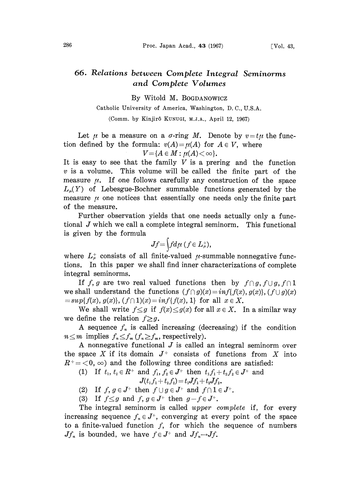## 66. Relations between Complete Integral Seminorms and Complete Volumes

By Witold M. BOGDANOWICZ

## Catholic University of America, Washington, D. C., U.S.A.

(Comm. by Kinjir6 KUNUGI, M.J.A., April 12, 1967)

Let  $\mu$  be a measure on a  $\sigma$ -ring M. Denote by  $v = t\mu$  the function defined by the formula:  $v(A) = \mu(A)$  for  $A \in V$ , where

$$
V = \{A \in M : \mu(A) < \infty\}.
$$

It is easy to see that the family  $V$  is a prering and the function  $v$  is a volume. This volume will be called the finite part of the measure  $\mu$ . If one follows carefully any construction of the space  $L_{\mu}(Y)$  of Lebesgue-Bochner summable functions generated by the measure  $\mu$  one notices that essentially one needs only the finite part of the measure.

Further observation yields that one needs actually only a functional  $J$  which we call a complete integral seminorm. This functional is given by the formula

$$
Jf = \Big\{ f d\mu \ (f \in L^+_\mu),
$$

where  $L^{\dagger}_{\mu}$  consists of all finite-valued  $\mu$ -summable nonnegative functions. In this paper we shall find inner characterizations of complete integral seminorms.

If f, g are two real valued functions then by  $f \cap g$ ,  $f \cup g$ ,  $f \cap 1$ we shall understand the functions  $(f \cap g)(x) = inf{f(x), g(x)}, (f \cup g)(x)$  $=sup{f(x), g(x)}, (f \cap 1)(x)=inf{f(x), 1}$  for all  $x \in X$ .

We shall write  $f \leq g$  if  $f(x) \leq g(x)$  for all  $x \in X$ . In a similar way we define the relation  $f \geq g$ .

A sequence  $f_n$  is called increasing (decreasing) if the condition A sequence  $f_n$  is called increasing (do  $n \leq m$  implies  $f_n \leq f_m$  ( $f_n \geq f_m$ , respectively).

A nonnegative functional  $J$  is called an integral seminorm over the space X if its domain  $J^+$  consists of functions from X into  $R^+ = \langle 0, \infty \rangle$  and the following three conditions are satisfied:

(1) If  $t_1, t_2 \in R^+$  and  $f_1, f_2 \in J^+$  then  $t_1 f_1 + t_2 f_2 \in J^+$  and

$$
J(t_1f_1+t_2f_2)\!=\!t_1\!J\!f_1\!+\!t_2\!J\!f_2.
$$

(2) If  $f, g \in J^+$  then  $f \cup g \in J^+$  and  $f \cap 1 \in J^+$ .

(3) If  $f \leq g$  and  $f, g \in J^+$  then  $g - f \in J^+$ .

The integral seminorm is called upper complete if, for every increasing sequence  $f_n \in J^+$ , converging at every point of the space to a finite-valued function  $f$ , for which the sequence of numbers  $Jf_n$  is bounded, we have  $f \in J^+$  and  $Jf_n \rightarrow Jf$ .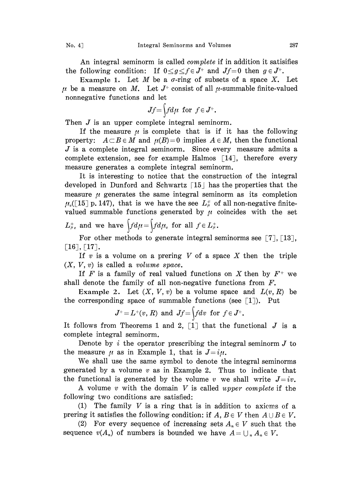An integral seminorm is called *complete* if in addition it satisifies the following condition: If  $0 \le g \le f \in J^+$  and  $Jf=0$  then  $g \in J^+$ .

Example 1. Let M be a  $\sigma$ -ring of subsets of a space X. Let  $\mu$  be a measure on M. Let  $J^+$  consist of all  $\mu$ -summable finite-valued nonnegative functions and let

$$
Jf{=}\int f d\mu \text{ for } f{\in} J^+.
$$

Then  $J$  is an upper complete integral seminorm.

If the measure  $\mu$  is complete that is if it has the following property:  $A \subset B \in M$  and  $\mu(B)=0$  implies  $A \in M$ , then the functional  $J$  is a complete integral seminorm. Since every measure admits a complete extension, see for example Halmos  $\lceil 14 \rceil$ , therefore every measure generates a complete integral seminorm.

It is interesting to notice that the construction of the integral developed in Dunford and Schwartz  $\lceil 15 \rceil$  has the properties that the measure  $\mu$  generates the same integral seminorm as its completion  $\mu_{\rm c}$ ([15] p. 147), that is we have the see  $L_{\mu}^{+}$  of all non-negative finitevalued summable functions generated by  $\mu$  coincides with the set

$$
L^+_{\mu_c}
$$
 and we have  $\int f d\mu = \int f d\mu_c$  for all  $f \in L^+_{\mu}$ .

For other methods to generate integral seminorms see  $\lceil 7 \rceil$ ,  $\lceil 13 \rceil$ ,  $\lceil 16 \rceil, \lceil 17 \rceil.$ 

If  $v$  is a volume on a prering  $V$  of a space  $X$  then the triple  $(X, V, v)$  is called a *volume space*.

If F is a family of real valued functions on X then by  $F^+$  we shall denote the family of all non-negative functions from  $F$ .

Example 2. Let  $(X, V, v)$  be a volume space and  $L(v, R)$  be the corresponding space of summable functions (see  $\lceil 1 \rceil$ ). Put

$$
J^+=L^+(v, R) \text{ and } Jf=\int fdv \text{ for } f\in J^+.
$$

It follows from Theorems 1 and 2,  $\lceil 1 \rceil$  that the functional  $J$  is a complete integral seminorm.

Denote by  $i$  the operator prescribing the integral seminorm  $J$  to the measure  $\mu$  as in Example 1, that is  $J=i\mu$ .

We shall use the same symbol to denote the integral seminorms generated by a volume  $v$  as in Example 2. Thus to indicate that the functional is generated by the volume v we shall write  $J=iv$ .

A volume v with the domain V is called upper complete if the following two conditions are satisfied:

(1) The family  $V$  is a ring that is in addition to axioms of a prering it satisfies the following condition: if  $A, B \in V$  then  $A \cup B \in V$ .

(2) For every sequence of increasing sets  $A_n \in V$  such that the sequence  $v(A_n)$  of numbers is bounded we have  $A=\bigcup_{n} A_n \in V$ .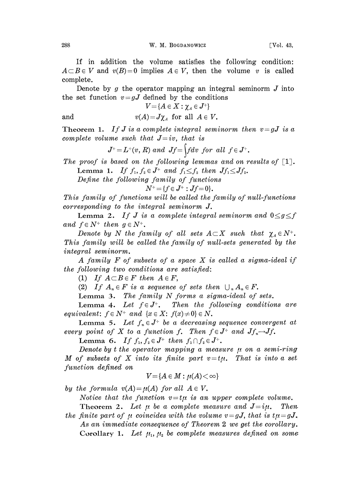If in addition the volume satisfies the following condition:  $A \subset B \in V$  and  $v(B)=0$  implies  $A \in V$ , then the volume v is called complete.

Denote by g the operator mapping an integral seminorm  $J$  into the set function  $v = gJ$  defined by the conditions

$$
V\!=\!\{A\in X:\chi_{\scriptscriptstyle A}\in J^+\}
$$

and 
$$
v(A) = J\chi_A
$$
 for all  $A \in V$ .

Theorem 1. If J is a complete integral seminorm then  $v = gJ$  is a complete volume such that  $J=iv$ , that is

$$
J^+=L^+(v, R) \ and \ Jf=\int f dv \ for \ all \ f\in J^+.
$$

The proof is based on the following lemmas and on results of [1].<br>Lemma 1. If  $f_1, f_2 \in J^+$  and  $f_1 \leq f_2$  then  $Jf_1 \leq Jf_2$ .

Lemma 1. If  $f_1, f_2 \in J^+$  and  $f_1 \leq f_2$  then  $Jf_1 \leq Jf_2$ .

Define the following family of functions

$$
N^+ = \{f \in J^+ : Jf = 0\}.
$$

This family of functions will be called the family of null-functions  $corresponding$  to the integral seminorm  $J$ .

**Lemma 2.** If J is a complete integral seminorm and  $0 \leq g \leq f$ and  $f \in N^+$  then  $g \in N^+$ .

Denote by N the family of all sets  $A \subset X$  such that  $\chi_A \in N^+$ . This family will be called the family of null-sets generated by the integral seminorm.

A family  $F$  of subsets of a space  $X$  is called a sigma-ideal if the following two conditions are satisfied:

(1) If  $A \subset B \in F$  then  $A \in F$ ,

(2) If  $A_n \in F$  is a sequence of sets then  $\bigcup_n A_n \in F$ .

Lemma 3. The family  $N$  forms a sigma-ideal of sets.

Lemma 4. Let  $f \in J^+$ . Then the following conditions are equivalent:  $f \in N^+$  and  $\{x \in X: f(x) \neq 0\} \in N$ .

Lemma 5. Let  $f_n \in J^+$  be a decreasing sequence convergent at every point of X to a function f. Then  $f \in J^+$  and  $Jf_* \rightarrow Jf$ .

Lemma 6. If  $f_1, f_2 \in J^+$  then  $f_1 \cap f_2 \in J^+$ .

Denote by t the operator mapping a measure  $\mu$  on a semi-ring M of subsets of X into its finite part  $v=t\mu$ . That is into a set function defined on

$$
V = \{A \in M : \mu(A) < \infty\}
$$

by the formula  $v(A) = \mu(A)$  for all  $A \in V$ .

Notice that the function  $v=t\mu$  is an upper complete volume.

Theorem 2. Let  $\mu$  be a complete measure and  $J=i\mu$ . Then the finite part of  $\mu$  coincides with the volume  $v = gJ$ , that is  $t\mu = gJ$ . As an immediate consequence of Theorem 2 we get the corollary. Corollary 1. Let  $\mu_1, \mu_2$  be complete measures defined on some